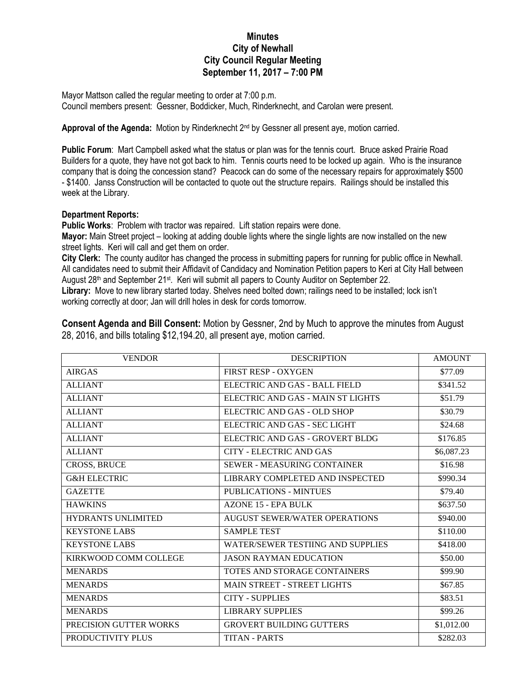## **Minutes City of Newhall City Council Regular Meeting September 11, 2017 – 7:00 PM**

Mayor Mattson called the regular meeting to order at 7:00 p.m. Council members present: Gessner, Boddicker, Much, Rinderknecht, and Carolan were present.

Approval of the Agenda: Motion by Rinderknecht 2<sup>nd</sup> by Gessner all present aye, motion carried.

**Public Forum**: Mart Campbell asked what the status or plan was for the tennis court. Bruce asked Prairie Road Builders for a quote, they have not got back to him. Tennis courts need to be locked up again. Who is the insurance company that is doing the concession stand? Peacock can do some of the necessary repairs for approximately \$500 - \$1400. Janss Construction will be contacted to quote out the structure repairs. Railings should be installed this week at the Library.

## **Department Reports:**

**Public Works**: Problem with tractor was repaired. Lift station repairs were done.

**Mayor:** Main Street project – looking at adding double lights where the single lights are now installed on the new street lights. Keri will call and get them on order.

**City Clerk:** The county auditor has changed the process in submitting papers for running for public office in Newhall. All candidates need to submit their Affidavit of Candidacy and Nomination Petition papers to Keri at City Hall between August 28<sup>th</sup> and September 21<sup>st</sup>. Keri will submit all papers to County Auditor on September 22.

**Library:** Move to new library started today. Shelves need bolted down; railings need to be installed; lock isn't working correctly at door; Jan will drill holes in desk for cords tomorrow.

**Consent Agenda and Bill Consent:** Motion by Gessner, 2nd by Much to approve the minutes from August 28, 2016, and bills totaling \$12,194.20, all present aye, motion carried.

| <b>VENDOR</b>             | <b>DESCRIPTION</b>                       | <b>AMOUNT</b> |
|---------------------------|------------------------------------------|---------------|
| <b>AIRGAS</b>             | <b>FIRST RESP - OXYGEN</b>               | \$77.09       |
| <b>ALLIANT</b>            | ELECTRIC AND GAS - BALL FIELD            | \$341.52      |
| <b>ALLIANT</b>            | ELECTRIC AND GAS - MAIN ST LIGHTS        | \$51.79       |
| <b>ALLIANT</b>            | ELECTRIC AND GAS - OLD SHOP              | \$30.79       |
| <b>ALLIANT</b>            | ELECTRIC AND GAS - SEC LIGHT             | \$24.68       |
| <b>ALLIANT</b>            | ELECTRIC AND GAS - GROVERT BLDG          | \$176.85      |
| <b>ALLIANT</b>            | CITY - ELECTRIC AND GAS                  | \$6,087.23    |
| <b>CROSS, BRUCE</b>       | <b>SEWER - MEASURING CONTAINER</b>       | \$16.98       |
| <b>G&amp;H ELECTRIC</b>   | LIBRARY COMPLETED AND INSPECTED          | \$990.34      |
| <b>GAZETTE</b>            | <b>PUBLICATIONS - MINTUES</b>            | \$79.40       |
| <b>HAWKINS</b>            | <b>AZONE 15 - EPA BULK</b>               | \$637.50      |
| <b>HYDRANTS UNLIMITED</b> | AUGUST SEWER/WATER OPERATIONS            | \$940.00      |
| <b>KEYSTONE LABS</b>      | <b>SAMPLE TEST</b>                       | \$110.00      |
| <b>KEYSTONE LABS</b>      | <b>WATER/SEWER TESTIING AND SUPPLIES</b> | \$418.00      |
| KIRKWOOD COMM COLLEGE     | <b>JASON RAYMAN EDUCATION</b>            | \$50.00       |
| <b>MENARDS</b>            | TOTES AND STORAGE CONTAINERS             | \$99.90       |
| <b>MENARDS</b>            | <b>MAIN STREET - STREET LIGHTS</b>       | \$67.85       |
| <b>MENARDS</b>            | <b>CITY - SUPPLIES</b>                   | \$83.51       |
| <b>MENARDS</b>            | <b>LIBRARY SUPPLIES</b>                  | \$99.26       |
| PRECISION GUTTER WORKS    | <b>GROVERT BUILDING GUTTERS</b>          | \$1,012.00    |
| PRODUCTIVITY PLUS         | <b>TITAN - PARTS</b>                     | \$282.03      |